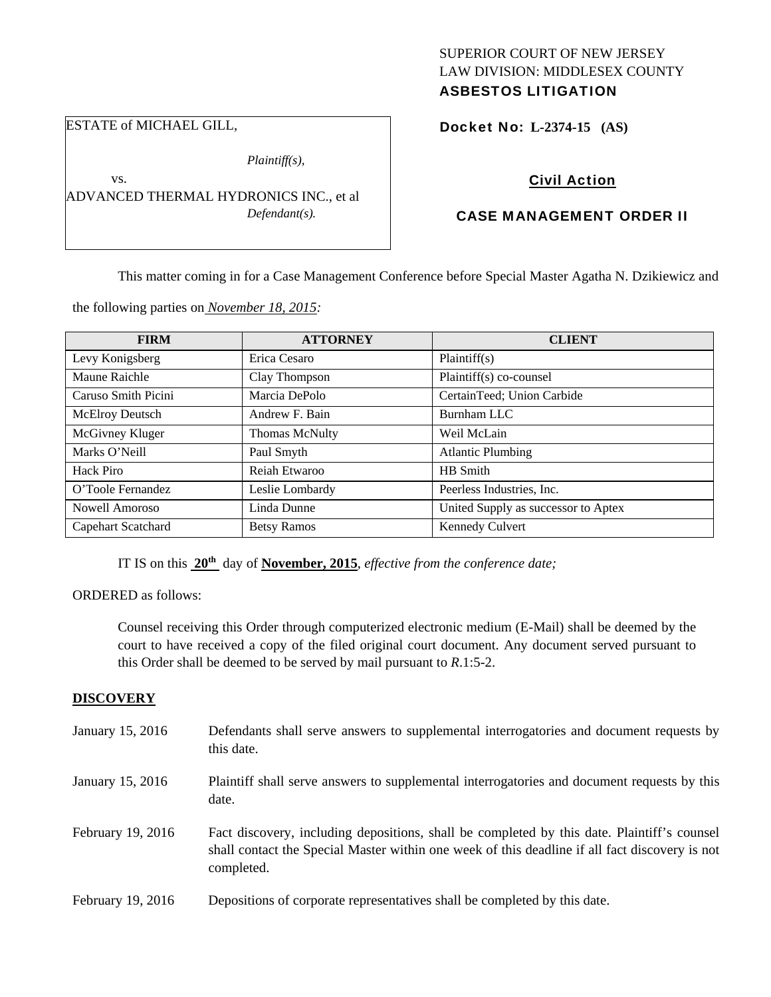# SUPERIOR COURT OF NEW JERSEY LAW DIVISION: MIDDLESEX COUNTY ASBESTOS LITIGATION

Docket No: **L-2374-15 (AS)** 

# Civil Action

# CASE MANAGEMENT ORDER II

This matter coming in for a Case Management Conference before Special Master Agatha N. Dzikiewicz and

the following parties on *November 18, 2015:* 

ADVANCED THERMAL HYDRONICS INC., et al

*Plaintiff(s),* 

*Defendant(s).* 

ESTATE of MICHAEL GILL,

vs.

| <b>FIRM</b>         | <b>ATTORNEY</b>       | <b>CLIENT</b>                       |
|---------------------|-----------------------|-------------------------------------|
| Levy Konigsberg     | Erica Cesaro          | Plaintiff(s)                        |
| Maune Raichle       | Clay Thompson         | Plaintiff(s) co-counsel             |
| Caruso Smith Picini | Marcia DePolo         | CertainTeed; Union Carbide          |
| McElroy Deutsch     | Andrew F. Bain        | Burnham LLC                         |
| McGivney Kluger     | <b>Thomas McNulty</b> | Weil McLain                         |
| Marks O'Neill       | Paul Smyth            | <b>Atlantic Plumbing</b>            |
| Hack Piro           | Reiah Etwaroo         | HB Smith                            |
| O'Toole Fernandez   | Leslie Lombardy       | Peerless Industries, Inc.           |
| Nowell Amoroso      | Linda Dunne           | United Supply as successor to Aptex |
| Capehart Scatchard  | <b>Betsy Ramos</b>    | <b>Kennedy Culvert</b>              |

IT IS on this **20th** day of **November, 2015**, *effective from the conference date;*

ORDERED as follows:

Counsel receiving this Order through computerized electronic medium (E-Mail) shall be deemed by the court to have received a copy of the filed original court document. Any document served pursuant to this Order shall be deemed to be served by mail pursuant to *R*.1:5-2.

#### **DISCOVERY**

| January 15, 2016  | Defendants shall serve answers to supplemental interrogatories and document requests by<br>this date.                                                                                                       |
|-------------------|-------------------------------------------------------------------------------------------------------------------------------------------------------------------------------------------------------------|
| January 15, 2016  | Plaintiff shall serve answers to supplemental interrogatories and document requests by this<br>date.                                                                                                        |
| February 19, 2016 | Fact discovery, including depositions, shall be completed by this date. Plaintiff's counsel<br>shall contact the Special Master within one week of this deadline if all fact discovery is not<br>completed. |
| February 19, 2016 | Depositions of corporate representatives shall be completed by this date.                                                                                                                                   |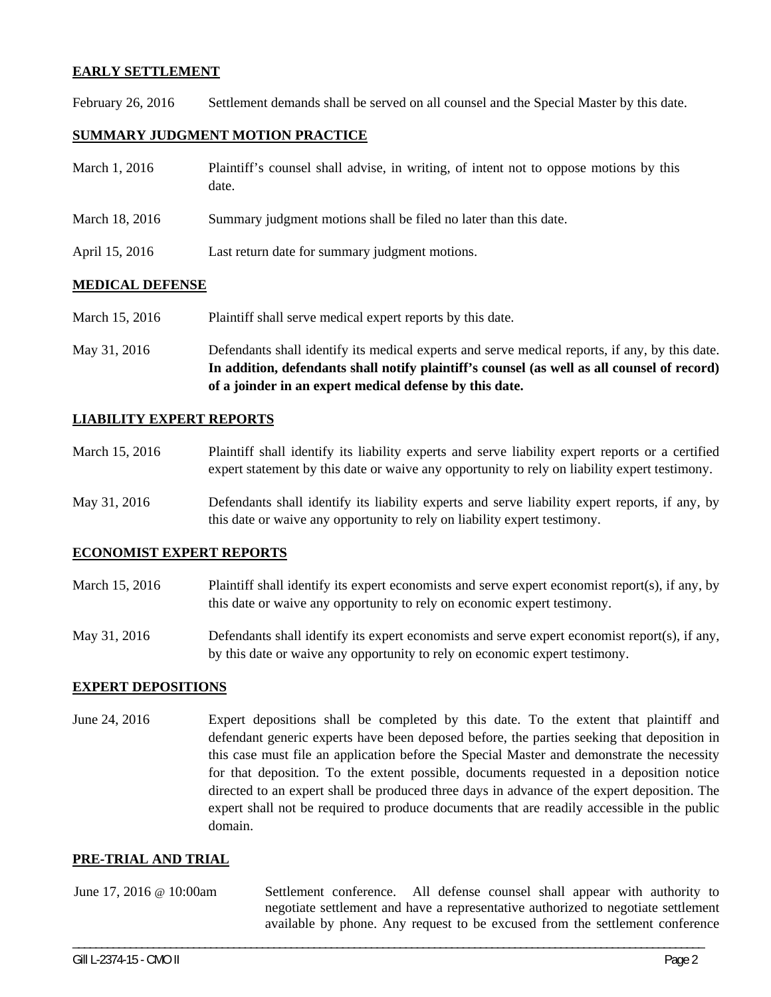### **EARLY SETTLEMENT**

February 26, 2016 Settlement demands shall be served on all counsel and the Special Master by this date.

## **SUMMARY JUDGMENT MOTION PRACTICE**

| March 1, 2016  | Plaintiff's counsel shall advise, in writing, of intent not to oppose motions by this<br>date. |
|----------------|------------------------------------------------------------------------------------------------|
| March 18, 2016 | Summary judgment motions shall be filed no later than this date.                               |
| April 15, 2016 | Last return date for summary judgment motions.                                                 |

## **MEDICAL DEFENSE**

March 15, 2016 Plaintiff shall serve medical expert reports by this date.

May 31, 2016 Defendants shall identify its medical experts and serve medical reports, if any, by this date. **In addition, defendants shall notify plaintiff's counsel (as well as all counsel of record) of a joinder in an expert medical defense by this date.** 

### **LIABILITY EXPERT REPORTS**

- March 15, 2016 Plaintiff shall identify its liability experts and serve liability expert reports or a certified expert statement by this date or waive any opportunity to rely on liability expert testimony.
- May 31, 2016 Defendants shall identify its liability experts and serve liability expert reports, if any, by this date or waive any opportunity to rely on liability expert testimony.

### **ECONOMIST EXPERT REPORTS**

- March 15, 2016 Plaintiff shall identify its expert economists and serve expert economist report(s), if any, by this date or waive any opportunity to rely on economic expert testimony.
- May 31, 2016 Defendants shall identify its expert economists and serve expert economist report(s), if any, by this date or waive any opportunity to rely on economic expert testimony.

### **EXPERT DEPOSITIONS**

June 24, 2016 Expert depositions shall be completed by this date. To the extent that plaintiff and defendant generic experts have been deposed before, the parties seeking that deposition in this case must file an application before the Special Master and demonstrate the necessity for that deposition. To the extent possible, documents requested in a deposition notice directed to an expert shall be produced three days in advance of the expert deposition. The expert shall not be required to produce documents that are readily accessible in the public domain.

#### **PRE-TRIAL AND TRIAL**

June 17, 2016 @ 10:00am Settlement conference. All defense counsel shall appear with authority to negotiate settlement and have a representative authorized to negotiate settlement available by phone. Any request to be excused from the settlement conference

\_\_\_\_\_\_\_\_\_\_\_\_\_\_\_\_\_\_\_\_\_\_\_\_\_\_\_\_\_\_\_\_\_\_\_\_\_\_\_\_\_\_\_\_\_\_\_\_\_\_\_\_\_\_\_\_\_\_\_\_\_\_\_\_\_\_\_\_\_\_\_\_\_\_\_\_\_\_\_\_\_\_\_\_\_\_\_\_\_\_\_\_\_\_\_\_\_\_\_\_\_\_\_\_\_\_\_\_\_\_